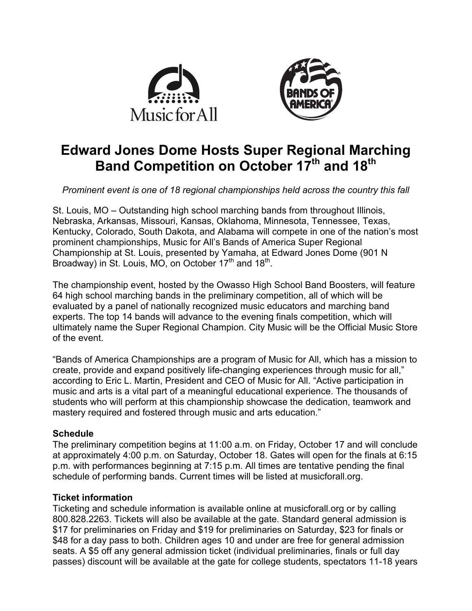



# **Edward Jones Dome Hosts Super Regional Marching Band Competition on October 17th and 18th**

*Prominent event is one of 18 regional championships held across the country this fall*

St. Louis, MO – Outstanding high school marching bands from throughout Illinois, Nebraska, Arkansas, Missouri, Kansas, Oklahoma, Minnesota, Tennessee, Texas, Kentucky, Colorado, South Dakota, and Alabama will compete in one of the nation's most prominent championships, Music for All's Bands of America Super Regional Championship at St. Louis, presented by Yamaha, at Edward Jones Dome (901 N Broadway) in St. Louis, MO, on October  $17<sup>th</sup>$  and  $18<sup>th</sup>$ .

The championship event, hosted by the Owasso High School Band Boosters, will feature 64 high school marching bands in the preliminary competition, all of which will be evaluated by a panel of nationally recognized music educators and marching band experts. The top 14 bands will advance to the evening finals competition, which will ultimately name the Super Regional Champion. City Music will be the Official Music Store of the event.

"Bands of America Championships are a program of Music for All, which has a mission to create, provide and expand positively life-changing experiences through music for all," according to Eric L. Martin, President and CEO of Music for All. "Active participation in music and arts is a vital part of a meaningful educational experience. The thousands of students who will perform at this championship showcase the dedication, teamwork and mastery required and fostered through music and arts education."

## **Schedule**

The preliminary competition begins at 11:00 a.m. on Friday, October 17 and will conclude at approximately 4:00 p.m. on Saturday, October 18. Gates will open for the finals at 6:15 p.m. with performances beginning at 7:15 p.m. All times are tentative pending the final schedule of performing bands. Current times will be listed at musicforall.org.

### **Ticket information**

Ticketing and schedule information is available online at musicforall.org or by calling 800.828.2263. Tickets will also be available at the gate. Standard general admission is \$17 for preliminaries on Friday and \$19 for preliminaries on Saturday, \$23 for finals or \$48 for a day pass to both. Children ages 10 and under are free for general admission seats. A \$5 off any general admission ticket (individual preliminaries, finals or full day passes) discount will be available at the gate for college students, spectators 11-18 years